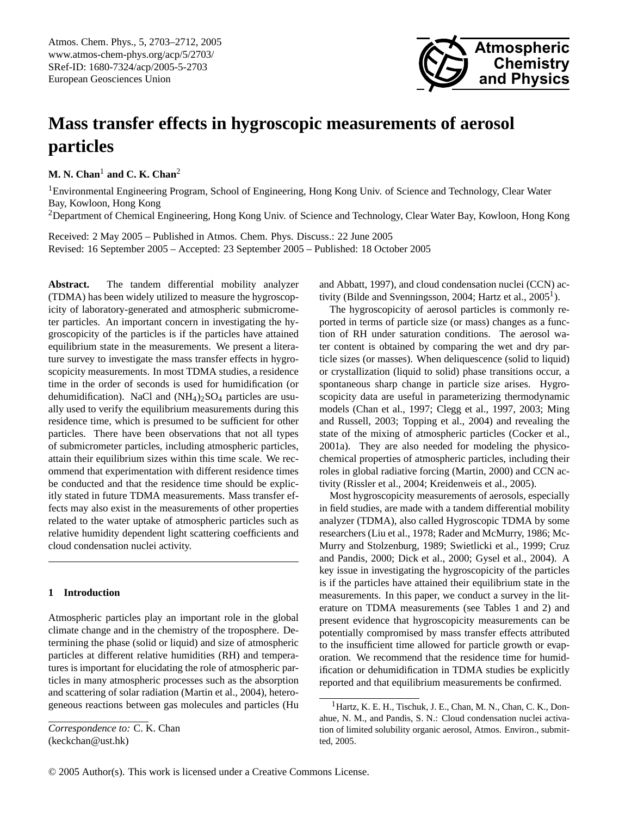

# **Mass transfer effects in hygroscopic measurements of aerosol particles**

**M. N. Chan<sup>1</sup> and C. K. Chan<sup>2</sup>** 

<sup>1</sup>Environmental Engineering Program, School of Engineering, Hong Kong Univ. of Science and Technology, Clear Water Bay, Kowloon, Hong Kong

<sup>2</sup>Department of Chemical Engineering, Hong Kong Univ. of Science and Technology, Clear Water Bay, Kowloon, Hong Kong

Received: 2 May 2005 – Published in Atmos. Chem. Phys. Discuss.: 22 June 2005 Revised: 16 September 2005 – Accepted: 23 September 2005 – Published: 18 October 2005

**Abstract.** The tandem differential mobility analyzer (TDMA) has been widely utilized to measure the hygroscopicity of laboratory-generated and atmospheric submicrometer particles. An important concern in investigating the hygroscopicity of the particles is if the particles have attained equilibrium state in the measurements. We present a literature survey to investigate the mass transfer effects in hygroscopicity measurements. In most TDMA studies, a residence time in the order of seconds is used for humidification (or dehumidification). NaCl and  $(NH_4)_2SO_4$  particles are usually used to verify the equilibrium measurements during this residence time, which is presumed to be sufficient for other particles. There have been observations that not all types of submicrometer particles, including atmospheric particles, attain their equilibrium sizes within this time scale. We recommend that experimentation with different residence times be conducted and that the residence time should be explicitly stated in future TDMA measurements. Mass transfer effects may also exist in the measurements of other properties related to the water uptake of atmospheric particles such as relative humidity dependent light scattering coefficients and cloud condensation nuclei activity.

# **1 Introduction**

Atmospheric particles play an important role in the global climate change and in the chemistry of the troposphere. Determining the phase (solid or liquid) and size of atmospheric particles at different relative humidities (RH) and temperatures is important for elucidating the role of atmospheric particles in many atmospheric processes such as the absorption and scattering of solar radiation (Martin et al., 2004), heterogeneous reactions between gas molecules and particles (Hu and Abbatt, 1997), and cloud condensation nuclei (CCN) activity (Bilde and Svenningsson, 2004; Hartz et al.,  $2005<sup>1</sup>$  $2005<sup>1</sup>$  $2005<sup>1</sup>$ ).

The hygroscopicity of aerosol particles is commonly reported in terms of particle size (or mass) changes as a function of RH under saturation conditions. The aerosol water content is obtained by comparing the wet and dry particle sizes (or masses). When deliquescence (solid to liquid) or crystallization (liquid to solid) phase transitions occur, a spontaneous sharp change in particle size arises. Hygroscopicity data are useful in parameterizing thermodynamic models (Chan et al., 1997; Clegg et al., 1997, 2003; Ming and Russell, 2003; Topping et al., 2004) and revealing the state of the mixing of atmospheric particles (Cocker et al., 2001a). They are also needed for modeling the physicochemical properties of atmospheric particles, including their roles in global radiative forcing (Martin, 2000) and CCN activity (Rissler et al., 2004; Kreidenweis et al., 2005).

Most hygroscopicity measurements of aerosols, especially in field studies, are made with a tandem differential mobility analyzer (TDMA), also called Hygroscopic TDMA by some researchers (Liu et al., 1978; Rader and McMurry, 1986; Mc-Murry and Stolzenburg, 1989; Swietlicki et al., 1999; Cruz and Pandis, 2000; Dick et al., 2000; Gysel et al., 2004). A key issue in investigating the hygroscopicity of the particles is if the particles have attained their equilibrium state in the measurements. In this paper, we conduct a survey in the literature on TDMA measurements (see Tables 1 and 2) and present evidence that hygroscopicity measurements can be potentially compromised by mass transfer effects attributed to the insufficient time allowed for particle growth or evaporation. We recommend that the residence time for humidification or dehumidification in TDMA studies be explicitly reported and that equilibrium measurements be confirmed.

<span id="page-0-0"></span>*Correspondence to:* C. K. Chan (keckchan@ust.hk)

<span id="page-0-1"></span><sup>&</sup>lt;sup>1</sup> Hartz, K. E. H., Tischuk, J. E., Chan, M. N., Chan, C. K., Donahue, N. M., and Pandis, S. N.: Cloud condensation nuclei activation of limited solubility organic aerosol, Atmos. Environ., submitted, 2005.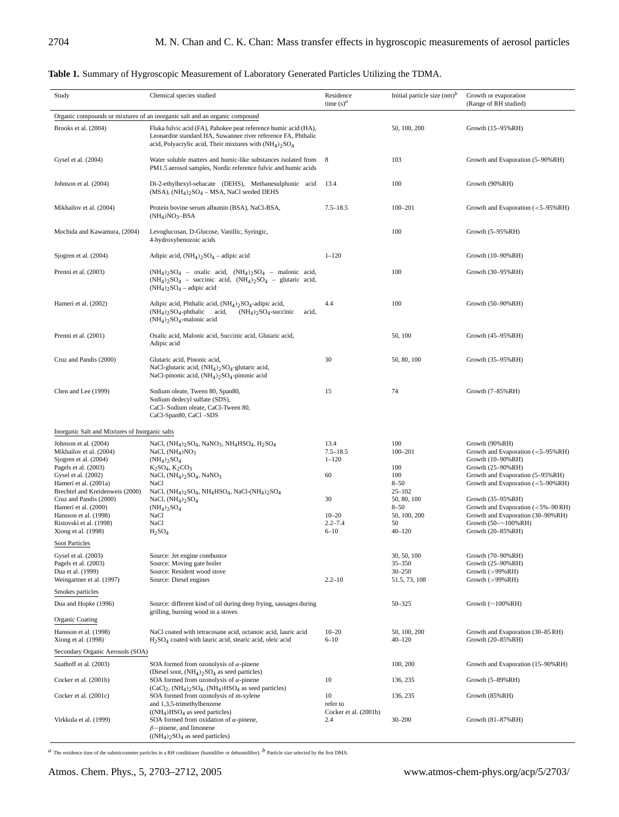| Study                                          | Chemical species studied                                                                                                                                                                                                                                                                                                                                                                                                        | Residence<br>time $(s)^a$ | Initial particle size $(nm)^b$ | Growth or evaporation<br>(Range of RH studied)          |  |  |  |  |
|------------------------------------------------|---------------------------------------------------------------------------------------------------------------------------------------------------------------------------------------------------------------------------------------------------------------------------------------------------------------------------------------------------------------------------------------------------------------------------------|---------------------------|--------------------------------|---------------------------------------------------------|--|--|--|--|
|                                                | Organic compounds or mixtures of an inorganic salt and an organic compound<br>Fluka fulvic acid (FA), Pahokee peat reference humic acid (HA),<br>50, 100, 200<br>Growth (15–95%RH)<br>Leonardite standard HA, Suwannee river reference FA, Phthalic<br>acid, Polyacrylic acid, Their mixtures with $(NH4)2SO4$<br>103<br>8<br>Water soluble matters and humic-like substances isolated from<br>Growth and Evaporation (5-90%RH) |                           |                                |                                                         |  |  |  |  |
| Brooks et al. (2004)                           |                                                                                                                                                                                                                                                                                                                                                                                                                                 |                           |                                |                                                         |  |  |  |  |
| Gysel et al. (2004)                            | PM1.5 aerosol samples, Nordic reference fulvic and humic acids                                                                                                                                                                                                                                                                                                                                                                  |                           |                                |                                                         |  |  |  |  |
| Johnson et al. (2004)                          | Di-2-ethylhexyl-sebacate (DEHS), Methanesulphonic acid<br>$(MSA)$ , $(NH4)2SO4 - MSA$ , NaCl seeded DEHS                                                                                                                                                                                                                                                                                                                        | 13.4                      | 100                            | Growth (90%RH)                                          |  |  |  |  |
| Mikhailov et al. (2004)                        | Protein bovine serum albumin (BSA), NaCl-BSA,<br>$(NH_4)NO_3-BSA$                                                                                                                                                                                                                                                                                                                                                               | $7.5 - 18.5$              | $100 - 201$                    | Growth and Evaporation $(<5-95\%RH$ )                   |  |  |  |  |
| Mochida and Kawamura, (2004)                   | Levoglucosan, D-Glucose, Vanillic, Syringic,<br>4-hydroxybenozoic acids                                                                                                                                                                                                                                                                                                                                                         |                           | 100                            | Growth $(5-95%RH)$                                      |  |  |  |  |
| Sjogren et al. (2004)                          | Adipic acid, $(NH_4)_2SO_4$ – adipic acid                                                                                                                                                                                                                                                                                                                                                                                       | $1 - 120$                 |                                | Growth (10–90%RH)                                       |  |  |  |  |
| Prenni et al. (2003)                           | $(NH_4)_2SO_4$ – oxalic acid, $(NH_4)_2SO_4$ – malonic acid,<br>$(NH_4)_2SO_4$ – succinic acid, $(NH_4)_2SO_4$ – glutaric acid,<br>$(NH_4)_2SO_4$ – adipic acid                                                                                                                                                                                                                                                                 |                           | 100                            | Growth (30-95%RH)                                       |  |  |  |  |
| Hameri et al. (2002)                           | Adipic acid, Phthalic acid, $(NH_4)$ <sub>2</sub> SO <sub>4</sub> -adipic acid,<br>$(NH_4)_2SO_4$ -phthalic<br>acid,<br>$(NH4)2SO4$ -succinic<br>acid,<br>$(NH4)2SO4$ -malonic acid                                                                                                                                                                                                                                             | 4.4                       | 100                            | Growth $(50-90\%RH)$                                    |  |  |  |  |
| Prenni et al. (2001)                           | Oxalic acid, Malonic acid, Succinic acid, Glutaric acid,<br>Adipic acid                                                                                                                                                                                                                                                                                                                                                         |                           | 50, 100                        | Growth (45-95%RH)                                       |  |  |  |  |
| Cruz and Pandis (2000)                         | Glutaric acid, Pinonic acid,<br>NaCl-glutaric acid, (NH <sub>4</sub> ) <sub>2</sub> SO <sub>4</sub> -glutaric acid,<br>NaCl-pinonic acid, $(NH_4)_2SO_4$ -pinonic acid                                                                                                                                                                                                                                                          | 30                        | 50, 80, 100                    | Growth (35-95%RH)                                       |  |  |  |  |
| Chen and Lee (1999)                            | Sodium oleate, Tween 80, Span80,<br>Sodium dedecyl sulfate (SDS),<br>CaCl-Sodium oleate, CaCl-Tween 80,<br>CaCl-Span80, CaCl-SDS                                                                                                                                                                                                                                                                                                | 15                        | 74                             | Growth $(7-85\%RH)$                                     |  |  |  |  |
|                                                | Inorganic Salt and Mixtures of Inorganic salts                                                                                                                                                                                                                                                                                                                                                                                  |                           |                                |                                                         |  |  |  |  |
| Johnson et al. (2004)                          | NaCl, $(NH_4)_2SO_4$ , NaNO <sub>3</sub> , NH <sub>4</sub> HSO <sub>4</sub> , H <sub>2</sub> SO <sub>4</sub>                                                                                                                                                                                                                                                                                                                    | 13.4                      | 100                            | Growth (90%RH)                                          |  |  |  |  |
| Mikhailov et al. (2004)                        | NaCl, $(NH4)NO3$                                                                                                                                                                                                                                                                                                                                                                                                                | $7.5 - 18.5$              | $100 - 201$                    | Growth and Evaporation (<5-95%RH)                       |  |  |  |  |
| Sjogren et al. (2004)                          | $(NH_4)_2SO_4$                                                                                                                                                                                                                                                                                                                                                                                                                  | $1 - 120$                 |                                | Growth (10-90%RH)                                       |  |  |  |  |
| Pagels et al. (2003)                           | $K_2SO_4, K_2CO_3$                                                                                                                                                                                                                                                                                                                                                                                                              |                           | 100                            | Growth (25-90%RH)                                       |  |  |  |  |
| Gysel et al. (2002)                            | NaCl, $(NH4)2SO4$ , NaNO <sub>3</sub>                                                                                                                                                                                                                                                                                                                                                                                           | 60                        | 100                            | Growth and Evaporation (5-95%RH)                        |  |  |  |  |
| Hameri et al. (2001a)                          | NaCl                                                                                                                                                                                                                                                                                                                                                                                                                            |                           | $8 - 50$                       | Growth and Evaporation $(<5-90\%RH$ )                   |  |  |  |  |
| Brechtel and Kreidenweis (2000)                | NaCl, $(NH_4)_2SO_4$ , $NH_4HSO_4$ , NaCl- $(NH_4)_2SO_4$                                                                                                                                                                                                                                                                                                                                                                       | 30                        | $25 - 102$                     |                                                         |  |  |  |  |
| Cruz and Pandis (2000)<br>Hameri et al. (2000) | NaCl, $(NH4)2SO4$<br>$(NH_4)_2SO_4$                                                                                                                                                                                                                                                                                                                                                                                             |                           | 50, 80, 100<br>$8 - 50$        | Growth (35-95%RH)<br>Growth and Evaporation (<5%-90 RH) |  |  |  |  |
| Hansson et al. (1998)                          | NaCl                                                                                                                                                                                                                                                                                                                                                                                                                            | $10 - 20$                 | 50, 100, 200                   | Growth and Evaporation (30-90%RH)                       |  |  |  |  |
| Ristovski et al. (1998)                        | NaCl                                                                                                                                                                                                                                                                                                                                                                                                                            | $2.2 - 7.4$               | 50                             | Growth $(50 - 100\% RH)$                                |  |  |  |  |
| Xiong et al. $(1998)$                          | H <sub>2</sub> SO <sub>4</sub>                                                                                                                                                                                                                                                                                                                                                                                                  | $6 - 10$                  | $40 - 120$                     | Growth (20-85%RH)                                       |  |  |  |  |
| <b>Soot Particles</b>                          |                                                                                                                                                                                                                                                                                                                                                                                                                                 |                           |                                |                                                         |  |  |  |  |
| Gysel et al. (2003)                            | Source: Jet engine combustor                                                                                                                                                                                                                                                                                                                                                                                                    |                           | 30, 50, 100                    | Growth (70-90%RH)                                       |  |  |  |  |
| Pagels et al. (2003)                           | Source: Moving gate boiler                                                                                                                                                                                                                                                                                                                                                                                                      |                           | $35 - 350$                     | Growth (25-90%RH)                                       |  |  |  |  |
| Dua et al. (1999)                              | Source: Resident wood stove                                                                                                                                                                                                                                                                                                                                                                                                     |                           | $30 - 250$                     | Growth $(>99%RH)$                                       |  |  |  |  |
| Weingartner et al. (1997)                      | Source: Diesel engines                                                                                                                                                                                                                                                                                                                                                                                                          | $2.2 - 10$                | 51.5, 73, 108                  | Growth $(>99%RH)$                                       |  |  |  |  |
| Smokes particles                               |                                                                                                                                                                                                                                                                                                                                                                                                                                 |                           |                                |                                                         |  |  |  |  |
| Dua and Hopke (1996)                           | Source: different kind of oil during deep frying, sausages during<br>grilling, burning wood in a stoves                                                                                                                                                                                                                                                                                                                         |                           | 50-325                         | Growth $(\sim 100\% RH)$                                |  |  |  |  |
| <b>Organic Coating</b>                         |                                                                                                                                                                                                                                                                                                                                                                                                                                 |                           |                                |                                                         |  |  |  |  |
| Hansson et al. (1998)<br>Xiong et al. (1998)   | NaCl coated with tetracosane acid, octanoic acid, lauric acid<br>$H2SO4$ coated with lauric acid, stearic acid, oleic acid                                                                                                                                                                                                                                                                                                      | $10 - 20$<br>$6 - 10$     | 50, 100, 200<br>$40 - 120$     | Growth and Evaporation (30-85 RH)<br>Growth (20-85%RH)  |  |  |  |  |
| Secondary Organic Aerosols (SOA)               |                                                                                                                                                                                                                                                                                                                                                                                                                                 |                           |                                |                                                         |  |  |  |  |
| Saathoff et al. (2003)                         | SOA formed from ozonolysis of $\alpha$ -pinene                                                                                                                                                                                                                                                                                                                                                                                  |                           | 100, 200                       | Growth and Evaporation (15-90%RH)                       |  |  |  |  |
| Cocker et al. (2001b)                          | (Diesel soot, $(NH_4)_2SO_4$ as seed particles)<br>SOA formed from ozonolysis of $\alpha$ -pinene                                                                                                                                                                                                                                                                                                                               | 10                        | 136, 235                       | Growth (5-89%RH)                                        |  |  |  |  |
| Cocker et al. (2001c)                          | (CaCl <sub>2</sub> , (NH <sub>4</sub> ) <sub>2</sub> SO <sub>4</sub> , (NH <sub>4</sub> )HSO <sub>4</sub> as seed particles)<br>SOA formed from ozonolysis of m-xylene<br>and 1,3,5-trimethylbenzene                                                                                                                                                                                                                            | 10<br>refer to            | 136, 235                       | Growth (85%RH)                                          |  |  |  |  |
|                                                | $((NH4)HSO4$ as seed particles)                                                                                                                                                                                                                                                                                                                                                                                                 | Cocker et al. (2001b)     |                                |                                                         |  |  |  |  |
| Virkkula et al. (1999)                         | SOA formed from oxidation of $\alpha$ -pinene,<br>$\beta$ -pinene, and limonene<br>$((NH4)2SO4$ as seed particles)                                                                                                                                                                                                                                                                                                              | 2.4                       | $30 - 200$                     | Growth (81-87%RH)                                       |  |  |  |  |

# **Table 1.** Summary of Hygroscopic Measurement of Laboratory Generated Particles Utilizing the TDMA.

 $a$  The residence time of the submicrometer particles in a RH conditioner (humidifier or dehumidifier).  $b$  Particle size selected by the first DMA.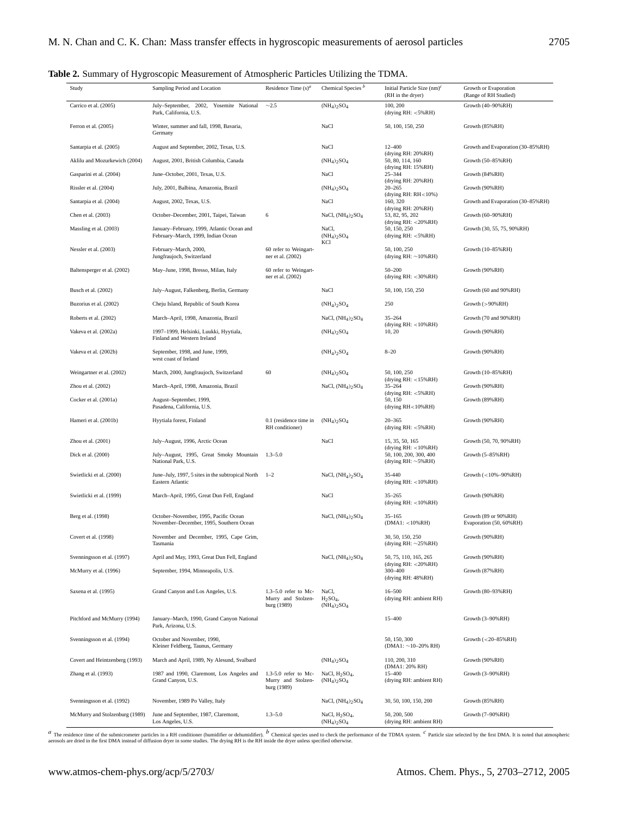# **Table 2.** Summary of Hygroscopic Measurement of Atmospheric Particles Utilizing the TDMA.

| Study                          | Sampling Period and Location                                                     | Residence Time $(s)^d$                                        | Chemical Species <sup>b</sup>                               | Initial Particle Size $(nm)^c$<br>(RH in the dryer)                        | Growth or Evaporation<br>(Range of RH Studied)  |
|--------------------------------|----------------------------------------------------------------------------------|---------------------------------------------------------------|-------------------------------------------------------------|----------------------------------------------------------------------------|-------------------------------------------------|
| Carrico et al. (2005)          | July-September, 2002, Yosemite National<br>Park, California, U.S.                | $\sim$ 2.5                                                    | $(NH_4)_2SO_4$                                              | 100, 200<br>(drying $RH: <5%RH$ )                                          | Growth (40-90%RH)                               |
| Ferron et al. (2005)           | Winter, summer and fall, 1998, Bavaria,<br>Germany                               |                                                               | NaCl                                                        | 50, 100, 150, 250                                                          | Growth (85%RH)                                  |
| Santarpia et al. (2005)        | August and September, 2002, Texas, U.S.                                          |                                                               | NaCl                                                        | $12 - 400$                                                                 | Growth and Evaporation (30-85% RH)              |
| Aklilu and Mozurkewich (2004)  | August, 2001, British Columbia, Canada                                           |                                                               | $(NH_4)_2SO_4$                                              | (drying RH: 20%RH)<br>50, 80, 114, 160<br>(drying RH: 15%RH)               | Growth (50-85%RH)                               |
| Gasparini et al. (2004)        | June-October, 2001, Texas, U.S.                                                  |                                                               | NaCl                                                        | $25 - 344$                                                                 | Growth (84%RH)                                  |
| Rissler et al. (2004)          | July, 2001, Balbina, Amazonia, Brazil                                            |                                                               | $(NH_4)_2SO_4$                                              | (drying RH: 20%RH)<br>$20 - 265$                                           | Growth (90%RH)                                  |
| Santarpia et al. (2004)        | August, 2002, Texas, U.S.                                                        |                                                               | NaCl                                                        | (drying RH: $RH<10%$ )<br>160, 320                                         | Growth and Evaporation (30-85% RH)              |
| Chen et al. (2003)             | October-December, 2001, Taipei, Taiwan                                           | 6                                                             | NaCl, (NH <sub>4</sub> ) <sub>2</sub> SO <sub>4</sub>       | (drying RH: 20%RH)<br>53, 82, 95, 202                                      | Growth (60-90%RH)                               |
| Massling et al. (2003)         | January-February, 1999, Atlantic Ocean and<br>February-March, 1999, Indian Ocean |                                                               | NaCl,<br>$(NH_4)_2SO_4$                                     | (drying RH: <20%RH)<br>50, 150, 250<br>(drying $RH: <5%RH$ )               | Growth (30, 55, 75, 90%RH)                      |
| Nessler et al. (2003)          | February-March, 2000,<br>Jungfraujoch, Switzerland                               | 60 refer to Weingart-<br>ner et al. (2002)                    | KCl                                                         | 50, 100, 250<br>(drying RH: $\sim$ 10%RH)                                  | Growth (10-85%RH)                               |
| Baltensperger et al. (2002)    | May-June, 1998, Bresso, Milan, Italy                                             | 60 refer to Weingart-<br>ner et al. (2002)                    |                                                             | $50 - 200$<br>(drying RH: < 30%RH)                                         | Growth (90%RH)                                  |
| Busch et al. (2002)            | July-August, Falkenberg, Berlin, Germany                                         |                                                               | NaCl                                                        | 50, 100, 150, 250                                                          | Growth (60 and 90%RH)                           |
| Buzorius et al. (2002)         | Cheju Island, Republic of South Korea                                            |                                                               | $(NH_4)$ <sub>2</sub> SO <sub>4</sub>                       | 250                                                                        | Growth $(>90\% RH)$                             |
| Roberts et al. (2002)          | March-April, 1998, Amazonia, Brazil                                              |                                                               | NaCl, $(NH4)2SO4$                                           | $35 - 264$                                                                 | Growth (70 and 90%RH)                           |
| Vakeva et al. (2002a)          | 1997-1999, Helsinki, Luukki, Hyytiala,<br>Finland and Western Ireland            |                                                               | $(NH_4)_2SO_4$                                              | (drying RH: < 10%RH)<br>10, 20                                             | Growth (90%RH)                                  |
| Vakeva et al. (2002b)          | September, 1998, and June, 1999,<br>west coast of Ireland                        |                                                               | $(NH_4)_2SO_4$                                              | $8 - 20$                                                                   | Growth (90%RH)                                  |
| Weingartner et al. (2002)      | March, 2000, Jungfraujoch, Switzerland                                           | 60                                                            | $(NH_4)_2SO_4$                                              | 50, 100, 250                                                               | Growth (10-85%RH)                               |
| Zhou et al. (2002)             | March-April, 1998, Amazonia, Brazil                                              |                                                               | NaCl, (NH <sub>4</sub> ) <sub>2</sub> SO <sub>4</sub>       | (drying RH: <15%RH)<br>$35 - 264$                                          | Growth (90%RH)                                  |
| Cocker et al. (2001a)          | August-September, 1999,<br>Pasadena, California, U.S.                            |                                                               |                                                             | (drying RH: < 5%RH)<br>50, 150<br>(drying RH<10%RH)                        | Growth (89%RH)                                  |
| Hameri et al. (2001b)          | Hyytiala forest, Finland                                                         | 0.1 (residence time in<br>RH conditioner)                     | $(NH_4)$ <sub>2</sub> SO <sub>4</sub>                       | $20 - 365$<br>(drying RH: <5%RH)                                           | Growth (90%RH)                                  |
| Zhou et al. (2001)             | July-August, 1996, Arctic Ocean                                                  |                                                               | NaCl                                                        | 15, 35, 50, 165                                                            | Growth (50, 70, 90%RH)                          |
| Dick et al. (2000)             | July-August, 1995, Great Smoky Mountain<br>National Park, U.S.                   | $1.3 - 5.0$                                                   |                                                             | (drying RH: < 10%RH)<br>50, 100, 200, 300, 400<br>(drying RH: $\sim$ 5%RH) | Growth $(5-85%RH)$                              |
| Swietlicki et al. (2000)       | June–July, 1997, 5 sites in the subtropical North 1–2<br>Eastern Atlantic        |                                                               | NaCl, $(NH4)2SO4$                                           | 35-440<br>(drying RH: < 10%RH)                                             | Growth $(<10\% - 90\% RH)$                      |
| Swietlicki et al. (1999)       | March-April, 1995, Great Dun Fell, England                                       |                                                               | NaCl                                                        | $35 - 265$<br>(drying RH: < 10%RH)                                         | Growth (90%RH)                                  |
| Berg et al. (1998)             | October-November, 1995, Pacific Ocean<br>November-December, 1995, Southern Ocean |                                                               | NaCl, $(NH4)2SO4$                                           | $35 - 165$<br>$(DMA1: <10\%RH)$                                            | Growth (89 or 90%RH)<br>Evaporation (50, 60%RH) |
| Covert et al. (1998)           | November and December, 1995, Cape Grim,<br>Tasmania                              |                                                               |                                                             | 30, 50, 150, 250<br>(drying RH: $\sim$ 25% RH)                             | Growth (90%RH)                                  |
| Svenningsson et al. (1997)     | April and May, 1993, Great Dun Fell, England                                     |                                                               | NaCl, $(NH4)2SO4$                                           | 50, 75, 110, 165, 265                                                      | Growth (90%RH)                                  |
| McMurry et al. (1996)          | September, 1994, Minneapolis, U.S.                                               |                                                               |                                                             | (drying $RH: < 20\% RH$ )<br>300-400<br>(drying RH: 48%RH)                 | Growth (87%RH)                                  |
| Saxena et al. (1995)           | Grand Canyon and Los Angeles, U.S.                                               | $1.3 - 5.0$ refer to Mc-<br>Murry and Stolzen-<br>burg (1989) | NaCl,<br>$H_2SO_4$<br>$(NH_4)$ <sub>2</sub> SO <sub>4</sub> | $16 - 500$<br>(drying RH: ambient RH)                                      | Growth (80-93%RH)                               |
| Pitchford and McMurry (1994)   | January-March, 1990, Grand Canyon National<br>Park, Arizona, U.S.                |                                                               |                                                             | 15-400                                                                     | Growth (3-90%RH)                                |
| Svenningsson et al. (1994)     | October and November, 1990,<br>Kleiner Feldberg, Taunus, Germany                 |                                                               |                                                             | 50, 150, 300<br>$(DMA1: ~10-20% RH)$                                       | Growth $(<$ 20-85% RH)                          |
| Covert and Heintzenberg (1993) | March and April, 1989, Ny Alesund, Svalbard                                      |                                                               | $(NH_4)_2SO_4$                                              | 110, 200, 310                                                              | Growth (90%RH)                                  |
| Zhang et al. (1993)            | 1987 and 1990, Claremont, Los Angeles and<br>Grand Canyon, U.S.                  | $1.3 - 5.0$ refer to Mc-<br>Murry and Stolzen-<br>burg (1989) | NaCl, $H2SO4$ ,<br>$(NH_4)_2SO_4$                           | (DMA1: 20% RH)<br>15-400<br>(drying RH: ambient RH)                        | Growth $(3-90%RH)$                              |
| Svenningsson et al. (1992)     | November, 1989 Po Valley, Italy                                                  |                                                               | NaCl, $(NH4)2SO4$                                           | 30, 50, 100, 150, 200                                                      | Growth (85%RH)                                  |
| McMurry and Stolzenburg (1989) | June and September, 1987, Claremont,<br>Los Angeles, U.S.                        | $1.3 - 5.0$                                                   | NaCl, $H2SO4$ ,<br>$(NH_4)_2SO_4$                           | 50, 200, 500<br>(drying RH: ambient RH)                                    | Growth (7-90%RH)                                |

 $a$  The residence time of the submicrometer particles in a RH conditioner (humidifier or dehumidifier).  $b$  Chemical species used to check the performance of the TDMA system.  $c$  Particle size selected by the first DMA. I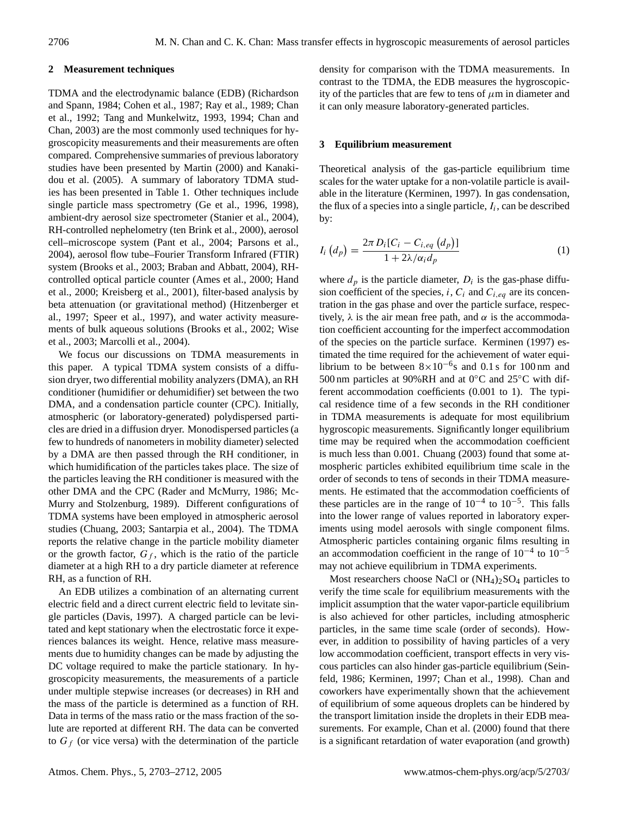## **2 Measurement techniques**

TDMA and the electrodynamic balance (EDB) (Richardson and Spann, 1984; Cohen et al., 1987; Ray et al., 1989; Chan et al., 1992; Tang and Munkelwitz, 1993, 1994; Chan and Chan, 2003) are the most commonly used techniques for hygroscopicity measurements and their measurements are often compared. Comprehensive summaries of previous laboratory studies have been presented by Martin (2000) and Kanakidou et al. (2005). A summary of laboratory TDMA studies has been presented in Table 1. Other techniques include single particle mass spectrometry (Ge et al., 1996, 1998), ambient-dry aerosol size spectrometer (Stanier et al., 2004), RH-controlled nephelometry (ten Brink et al., 2000), aerosol cell–microscope system (Pant et al., 2004; Parsons et al., 2004), aerosol flow tube–Fourier Transform Infrared (FTIR) system (Brooks et al., 2003; Braban and Abbatt, 2004), RHcontrolled optical particle counter (Ames et al., 2000; Hand et al., 2000; Kreisberg et al., 2001), filter-based analysis by beta attenuation (or gravitational method) (Hitzenberger et al., 1997; Speer et al., 1997), and water activity measurements of bulk aqueous solutions (Brooks et al., 2002; Wise et al., 2003; Marcolli et al., 2004).

We focus our discussions on TDMA measurements in this paper. A typical TDMA system consists of a diffusion dryer, two differential mobility analyzers (DMA), an RH conditioner (humidifier or dehumidifier) set between the two DMA, and a condensation particle counter (CPC). Initially, atmospheric (or laboratory-generated) polydispersed particles are dried in a diffusion dryer. Monodispersed particles (a few to hundreds of nanometers in mobility diameter) selected by a DMA are then passed through the RH conditioner, in which humidification of the particles takes place. The size of the particles leaving the RH conditioner is measured with the other DMA and the CPC (Rader and McMurry, 1986; Mc-Murry and Stolzenburg, 1989). Different configurations of TDMA systems have been employed in atmospheric aerosol studies (Chuang, 2003; Santarpia et al., 2004). The TDMA reports the relative change in the particle mobility diameter or the growth factor,  $G_f$ , which is the ratio of the particle diameter at a high RH to a dry particle diameter at reference RH, as a function of RH.

An EDB utilizes a combination of an alternating current electric field and a direct current electric field to levitate single particles (Davis, 1997). A charged particle can be levitated and kept stationary when the electrostatic force it experiences balances its weight. Hence, relative mass measurements due to humidity changes can be made by adjusting the DC voltage required to make the particle stationary. In hygroscopicity measurements, the measurements of a particle under multiple stepwise increases (or decreases) in RH and the mass of the particle is determined as a function of RH. Data in terms of the mass ratio or the mass fraction of the solute are reported at different RH. The data can be converted to  $G_f$  (or vice versa) with the determination of the particle density for comparison with the TDMA measurements. In contrast to the TDMA, the EDB measures the hygroscopicity of the particles that are few to tens of  $\mu$ m in diameter and it can only measure laboratory-generated particles.

## **3 Equilibrium measurement**

Theoretical analysis of the gas-particle equilibrium time scales for the water uptake for a non-volatile particle is available in the literature (Kerminen, 1997). In gas condensation, the flux of a species into a single particle,  $I_i$ , can be described by:

$$
I_i\left(d_p\right) = \frac{2\pi D_i[C_i - C_{i,eq}\left(d_p\right)]}{1 + 2\lambda/\alpha_i d_p} \tag{1}
$$

where  $d_p$  is the particle diameter,  $D_i$  is the gas-phase diffusion coefficient of the species, i,  $C_i$  and  $C_{i,eq}$  are its concentration in the gas phase and over the particle surface, respectively,  $\lambda$  is the air mean free path, and  $\alpha$  is the accommodation coefficient accounting for the imperfect accommodation of the species on the particle surface. Kerminen (1997) estimated the time required for the achievement of water equilibrium to be between  $8 \times 10^{-6}$ s and 0.1 s for 100 nm and 500 nm particles at 90%RH and at 0◦C and 25◦C with different accommodation coefficients (0.001 to 1). The typical residence time of a few seconds in the RH conditioner in TDMA measurements is adequate for most equilibrium hygroscopic measurements. Significantly longer equilibrium time may be required when the accommodation coefficient is much less than 0.001. Chuang (2003) found that some atmospheric particles exhibited equilibrium time scale in the order of seconds to tens of seconds in their TDMA measurements. He estimated that the accommodation coefficients of these particles are in the range of  $10^{-4}$  to  $10^{-5}$ . This falls into the lower range of values reported in laboratory experiments using model aerosols with single component films. Atmospheric particles containing organic films resulting in an accommodation coefficient in the range of 10−<sup>4</sup> to 10−<sup>5</sup> may not achieve equilibrium in TDMA experiments.

Most researchers choose NaCl or  $(NH_4)_2SO_4$  particles to verify the time scale for equilibrium measurements with the implicit assumption that the water vapor-particle equilibrium is also achieved for other particles, including atmospheric particles, in the same time scale (order of seconds). However, in addition to possibility of having particles of a very low accommodation coefficient, transport effects in very viscous particles can also hinder gas-particle equilibrium (Seinfeld, 1986; Kerminen, 1997; Chan et al., 1998). Chan and coworkers have experimentally shown that the achievement of equilibrium of some aqueous droplets can be hindered by the transport limitation inside the droplets in their EDB measurements. For example, Chan et al. (2000) found that there is a significant retardation of water evaporation (and growth)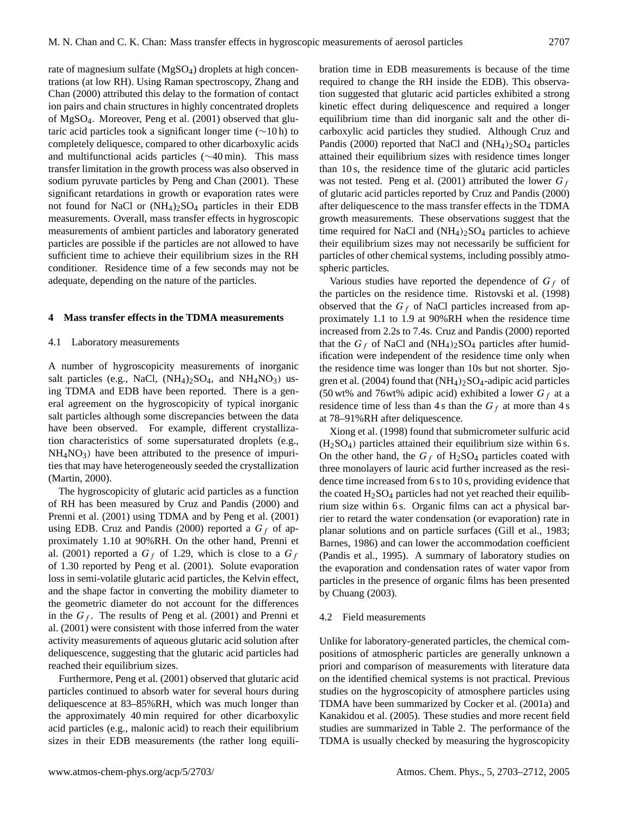rate of magnesium sulfate (MgSO<sub>4</sub>) droplets at high concentrations (at low RH). Using Raman spectroscopy, Zhang and Chan (2000) attributed this delay to the formation of contact ion pairs and chain structures in highly concentrated droplets of MgSO4. Moreover, Peng et al. (2001) observed that glutaric acid particles took a significant longer time (∼10 h) to completely deliquesce, compared to other dicarboxylic acids and multifunctional acids particles (∼40 min). This mass transfer limitation in the growth process was also observed in sodium pyruvate particles by Peng and Chan (2001). These significant retardations in growth or evaporation rates were not found for NaCl or  $(NH_4)_2SO_4$  particles in their EDB measurements. Overall, mass transfer effects in hygroscopic measurements of ambient particles and laboratory generated particles are possible if the particles are not allowed to have sufficient time to achieve their equilibrium sizes in the RH conditioner. Residence time of a few seconds may not be adequate, depending on the nature of the particles.

#### **4 Mass transfer effects in the TDMA measurements**

#### 4.1 Laboratory measurements

A number of hygroscopicity measurements of inorganic salt particles (e.g., NaCl,  $(NH_4)_2SO_4$ , and  $NH_4NO_3$ ) using TDMA and EDB have been reported. There is a general agreement on the hygroscopicity of typical inorganic salt particles although some discrepancies between the data have been observed. For example, different crystallization characteristics of some supersaturated droplets (e.g.,  $NH<sub>4</sub>NO<sub>3</sub>$ ) have been attributed to the presence of impurities that may have heterogeneously seeded the crystallization (Martin, 2000).

The hygroscopicity of glutaric acid particles as a function of RH has been measured by Cruz and Pandis (2000) and Prenni et al. (2001) using TDMA and by Peng et al. (2001) using EDB. Cruz and Pandis (2000) reported a  $G_f$  of approximately 1.10 at 90%RH. On the other hand, Prenni et al. (2001) reported a  $G_f$  of 1.29, which is close to a  $G_f$ of 1.30 reported by Peng et al. (2001). Solute evaporation loss in semi-volatile glutaric acid particles, the Kelvin effect, and the shape factor in converting the mobility diameter to the geometric diameter do not account for the differences in the  $G_f$ . The results of Peng et al. (2001) and Prenni et al. (2001) were consistent with those inferred from the water activity measurements of aqueous glutaric acid solution after deliquescence, suggesting that the glutaric acid particles had reached their equilibrium sizes.

Furthermore, Peng et al. (2001) observed that glutaric acid particles continued to absorb water for several hours during deliquescence at 83–85%RH, which was much longer than the approximately 40 min required for other dicarboxylic acid particles (e.g., malonic acid) to reach their equilibrium sizes in their EDB measurements (the rather long equilibration time in EDB measurements is because of the time required to change the RH inside the EDB). This observation suggested that glutaric acid particles exhibited a strong kinetic effect during deliquescence and required a longer equilibrium time than did inorganic salt and the other dicarboxylic acid particles they studied. Although Cruz and Pandis (2000) reported that NaCl and  $(NH<sub>4</sub>)<sub>2</sub>SO<sub>4</sub>$  particles attained their equilibrium sizes with residence times longer than 10 s, the residence time of the glutaric acid particles was not tested. Peng et al. (2001) attributed the lower  $G_f$ of glutaric acid particles reported by Cruz and Pandis (2000) after deliquescence to the mass transfer effects in the TDMA growth measurements. These observations suggest that the time required for NaCl and  $(NH_4)_2SO_4$  particles to achieve their equilibrium sizes may not necessarily be sufficient for particles of other chemical systems, including possibly atmospheric particles.

Various studies have reported the dependence of  $G_f$  of the particles on the residence time. Ristovski et al. (1998) observed that the  $G_f$  of NaCl particles increased from approximately 1.1 to 1.9 at 90%RH when the residence time increased from 2.2s to 7.4s. Cruz and Pandis (2000) reported that the  $G_f$  of NaCl and (NH<sub>4</sub>)<sub>2</sub>SO<sub>4</sub> particles after humidification were independent of the residence time only when the residence time was longer than 10s but not shorter. Sjogren et al. (2004) found that  $(NH_4)_2SO_4$ -adipic acid particles (50 wt% and 76wt% adipic acid) exhibited a lower  $G_f$  at a residence time of less than 4 s than the  $G_f$  at more than 4 s at 78–91%RH after deliquescence.

Xiong et al. (1998) found that submicrometer sulfuric acid  $(H<sub>2</sub>SO<sub>4</sub>)$  particles attained their equilibrium size within 6 s. On the other hand, the  $G_f$  of H<sub>2</sub>SO<sub>4</sub> particles coated with three monolayers of lauric acid further increased as the residence time increased from 6 s to 10 s, providing evidence that the coated  $H<sub>2</sub>SO<sub>4</sub>$  particles had not yet reached their equilibrium size within 6 s. Organic films can act a physical barrier to retard the water condensation (or evaporation) rate in planar solutions and on particle surfaces (Gill et al., 1983; Barnes, 1986) and can lower the accommodation coefficient (Pandis et al., 1995). A summary of laboratory studies on the evaporation and condensation rates of water vapor from particles in the presence of organic films has been presented by Chuang (2003).

#### 4.2 Field measurements

Unlike for laboratory-generated particles, the chemical compositions of atmospheric particles are generally unknown a priori and comparison of measurements with literature data on the identified chemical systems is not practical. Previous studies on the hygroscopicity of atmosphere particles using TDMA have been summarized by Cocker et al. (2001a) and Kanakidou et al. (2005). These studies and more recent field studies are summarized in Table 2. The performance of the TDMA is usually checked by measuring the hygroscopicity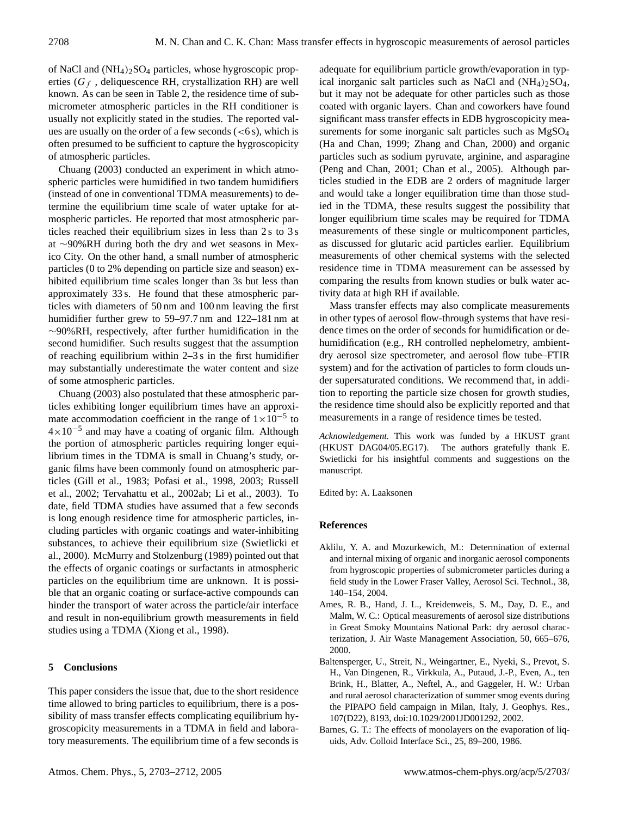of NaCl and  $(NH_4)_2SO_4$  particles, whose hygroscopic properties ( $G_f$ , deliquescence RH, crystallization RH) are well known. As can be seen in Table 2, the residence time of submicrometer atmospheric particles in the RH conditioner is usually not explicitly stated in the studies. The reported values are usually on the order of a few seconds  $(< 6 s)$ , which is often presumed to be sufficient to capture the hygroscopicity of atmospheric particles.

Chuang (2003) conducted an experiment in which atmospheric particles were humidified in two tandem humidifiers (instead of one in conventional TDMA measurements) to determine the equilibrium time scale of water uptake for atmospheric particles. He reported that most atmospheric particles reached their equilibrium sizes in less than 2 s to 3 s at ∼90%RH during both the dry and wet seasons in Mexico City. On the other hand, a small number of atmospheric particles (0 to 2% depending on particle size and season) exhibited equilibrium time scales longer than 3s but less than approximately 33 s. He found that these atmospheric particles with diameters of 50 nm and 100 nm leaving the first humidifier further grew to 59–97.7 nm and 122–181 nm at ∼90%RH, respectively, after further humidification in the second humidifier. Such results suggest that the assumption of reaching equilibrium within 2–3 s in the first humidifier may substantially underestimate the water content and size of some atmospheric particles.

Chuang (2003) also postulated that these atmospheric particles exhibiting longer equilibrium times have an approximate accommodation coefficient in the range of  $1 \times 10^{-5}$  to  $4 \times 10^{-5}$  and may have a coating of organic film. Although the portion of atmospheric particles requiring longer equilibrium times in the TDMA is small in Chuang's study, organic films have been commonly found on atmospheric particles (Gill et al., 1983; Pofasi et al., 1998, 2003; Russell et al., 2002; Tervahattu et al., 2002ab; Li et al., 2003). To date, field TDMA studies have assumed that a few seconds is long enough residence time for atmospheric particles, including particles with organic coatings and water-inhibiting substances, to achieve their equilibrium size (Swietlicki et al., 2000). McMurry and Stolzenburg (1989) pointed out that the effects of organic coatings or surfactants in atmospheric particles on the equilibrium time are unknown. It is possible that an organic coating or surface-active compounds can hinder the transport of water across the particle/air interface and result in non-equilibrium growth measurements in field studies using a TDMA (Xiong et al., 1998).

### **5 Conclusions**

This paper considers the issue that, due to the short residence time allowed to bring particles to equilibrium, there is a possibility of mass transfer effects complicating equilibrium hygroscopicity measurements in a TDMA in field and laboratory measurements. The equilibrium time of a few seconds is adequate for equilibrium particle growth/evaporation in typical inorganic salt particles such as NaCl and  $(NH_4)$ <sub>2</sub>SO<sub>4</sub>, but it may not be adequate for other particles such as those coated with organic layers. Chan and coworkers have found significant mass transfer effects in EDB hygroscopicity measurements for some inorganic salt particles such as MgSO<sub>4</sub> (Ha and Chan, 1999; Zhang and Chan, 2000) and organic particles such as sodium pyruvate, arginine, and asparagine (Peng and Chan, 2001; Chan et al., 2005). Although particles studied in the EDB are 2 orders of magnitude larger and would take a longer equilibration time than those studied in the TDMA, these results suggest the possibility that longer equilibrium time scales may be required for TDMA measurements of these single or multicomponent particles, as discussed for glutaric acid particles earlier. Equilibrium measurements of other chemical systems with the selected residence time in TDMA measurement can be assessed by comparing the results from known studies or bulk water activity data at high RH if available.

Mass transfer effects may also complicate measurements in other types of aerosol flow-through systems that have residence times on the order of seconds for humidification or dehumidification (e.g., RH controlled nephelometry, ambientdry aerosol size spectrometer, and aerosol flow tube–FTIR system) and for the activation of particles to form clouds under supersaturated conditions. We recommend that, in addition to reporting the particle size chosen for growth studies, the residence time should also be explicitly reported and that measurements in a range of residence times be tested.

*Acknowledgement.* This work was funded by a HKUST grant (HKUST DAG04/05.EG17). The authors gratefully thank E. Swietlicki for his insightful comments and suggestions on the manuscript.

Edited by: A. Laaksonen

## **References**

- Aklilu, Y. A. and Mozurkewich, M.: Determination of external and internal mixing of organic and inorganic aerosol components from hygroscopic properties of submicrometer particles during a field study in the Lower Fraser Valley, Aerosol Sci. Technol., 38, 140–154, 2004.
- Ames, R. B., Hand, J. L., Kreidenweis, S. M., Day, D. E., and Malm, W. C.: Optical measurements of aerosol size distributions in Great Smoky Mountains National Park: dry aerosol characterization, J. Air Waste Management Association, 50, 665–676, 2000.
- Baltensperger, U., Streit, N., Weingartner, E., Nyeki, S., Prevot, S. H., Van Dingenen, R., Virkkula, A., Putaud, J.-P., Even, A., ten Brink, H., Blatter, A., Neftel, A., and Gaggeler, H. W.: Urban and rural aerosol characterization of summer smog events during the PIPAPO field campaign in Milan, Italy, J. Geophys. Res., 107(D22), 8193, doi:10.1029/2001JD001292, 2002.
- Barnes, G. T.: The effects of monolayers on the evaporation of liquids, Adv. Colloid Interface Sci., 25, 89–200, 1986.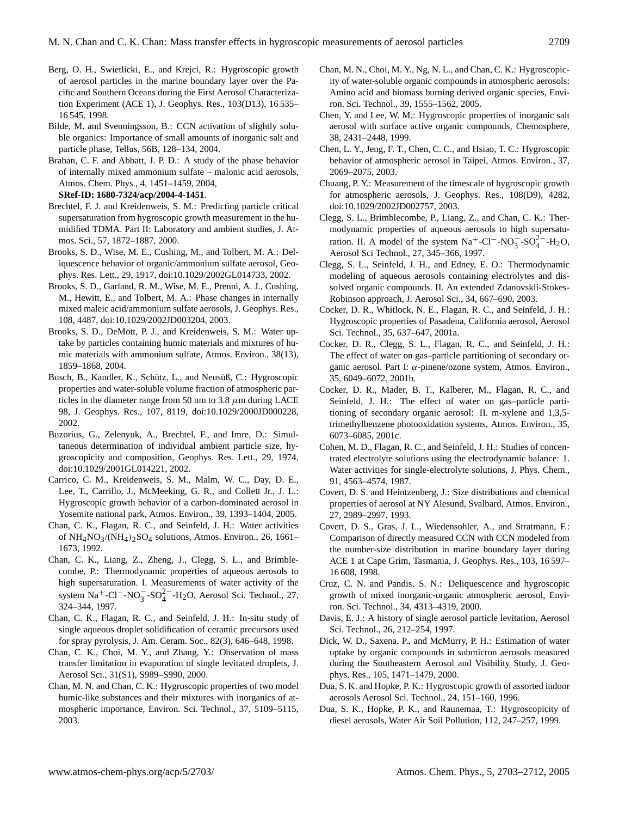- Berg, O. H., Swietlicki, E., and Krejci, R.: Hygroscopic growth of aerosol particles in the marine boundary layer over the Pacific and Southern Oceans during the First Aerosol Characterization Experiment (ACE 1), J. Geophys. Res., 103(D13), 16 535– 16 545, 1998.
- Bilde, M. and Svenningsson, B.: CCN activation of slightly soluble organics: Importance of small amounts of inorganic salt and particle phase, Tellus, 56B, 128–134, 2004.
- Braban, C. F. and Abbatt, J. P. D.: A study of the phase behavior of internally mixed ammonium sulfate – malonic acid aerosols, Atmos. Chem. Phys., 4, 1451–1459, 2004,
	- **[SRef-ID: 1680-7324/acp/2004-4-1451](http://direct.sref.org/1680-7324/acp/2004-4-1451)**.
- Brechtel, F. J. and Kreidenweis, S. M.: Predicting particle critical supersaturation from hygroscopic growth measurement in the humidified TDMA. Part II: Laboratory and ambient studies, J. Atmos. Sci., 57, 1872–1887, 2000.
- Brooks, S. D., Wise, M. E., Cushing, M., and Tolbert, M. A.: Deliquescence behavior of organic/ammonium sulfate aerosol, Geophys. Res. Lett., 29, 1917, doi:10.1029/2002GL014733, 2002.
- Brooks, S. D., Garland, R. M., Wise, M. E., Prenni, A. J., Cushing, M., Hewitt, E., and Tolbert, M. A.: Phase changes in internally mixed maleic acid/ammonium sulfate aerosols, J. Geophys. Res., 108, 4487, doi:10.1029/2002JD003204, 2003.
- Brooks, S. D., DeMott, P. J., and Kreidenweis, S. M.: Water uptake by particles containing humic materials and mixtures of humic materials with ammonium sulfate, Atmos. Environ., 38(13), 1859–1868, 2004.
- Busch, B., Kandler, K., Schütz, L., and Neusüß, C.: Hygroscopic properties and water-soluble volume fraction of atmospheric particles in the diameter range from 50 nm to 3.8  $\mu$ m during LACE 98, J. Geophys. Res., 107, 8119, doi:10.1029/2000JD000228, 2002.
- Buzorius, G., Zelenyuk, A., Brechtel, F., and Imre, D.: Simultaneous determination of individual ambient particle size, hygroscopicity and composition, Geophys. Res. Lett., 29, 1974, doi:10.1029/2001GL014221, 2002.
- Carrico, C. M., Kreidenweis, S. M., Malm, W. C., Day, D. E., Lee, T., Carrillo, J., McMeeking, G. R., and Collett Jr., J. L.: Hygroscopic growth behavior of a carbon-dominated aerosol in Yosemite national park, Atmos. Environ., 39, 1393–1404, 2005.
- Chan, C. K., Flagan, R. C., and Seinfeld, J. H.: Water activities of  $NH_4NO_3/(NH_4)_2SO_4$  solutions, Atmos. Environ., 26, 1661– 1673, 1992.
- Chan, C. K., Liang, Z., Zheng, J., Clegg, S. L., and Brimblecombe, P.: Thermodynamic properties of aqueous aerosols to high supersaturation. I. Measurements of water activity of the system Na<sup>+</sup>-Cl<sup>-</sup>-NO<sub>3</sub><sup>-</sup>-SO<sub>4</sub><sup>2</sup><sup>-</sup>-H<sub>2</sub>O, Aerosol Sci. Technol., 27, 324–344, 1997.
- Chan, C. K., Flagan, R. C., and Seinfeld, J. H.: In-situ study of single aqueous droplet solidification of ceramic precursors used for spray pyrolysis, J. Am. Ceram. Soc., 82(3), 646–648, 1998.
- Chan, C. K., Choi, M. Y., and Zhang, Y.: Observation of mass transfer limitation in evaporation of single levitated droplets, J. Aerosol Sci., 31(S1), S989–S990, 2000.
- Chan, M. N. and Chan, C. K.: Hygroscopic properties of two model humic-like substances and their mixtures with inorganics of atmospheric importance, Environ. Sci. Technol., 37, 5109–5115, 2003.
- Chan, M. N., Choi, M. Y., Ng, N. L., and Chan, C. K.: Hygroscopicity of water-soluble organic compounds in atmospheric aerosols: Amino acid and biomass burning derived organic species, Environ. Sci. Technol., 39, 1555–1562, 2005.
- Chen, Y. and Lee, W. M.: Hygroscopic properties of inorganic salt aerosol with surface active organic compounds, Chemosphere, 38, 2431–2448, 1999.
- Chen, L. Y., Jeng, F. T., Chen, C. C., and Hsiao, T. C.: Hygroscopic behavior of atmospheric aerosol in Taipei, Atmos. Environ., 37, 2069–2075, 2003.
- Chuang, P. Y.: Measurement of the timescale of hygroscopic growth for atmospheric aerosols, J. Geophys. Res., 108(D9), 4282, doi:10.1029/2002JD002757, 2003.
- Clegg, S. L., Brimblecombe, P., Liang, Z., and Chan, C. K.: Thermodynamic properties of aqueous aerosols to high supersaturation. II. A model of the system  $\text{Na}^+$ -Cl<sup>−</sup>-NO<sub>3</sub><sup>-</sup>-SO<sub>4</sub><sup>2</sup><sup>-</sup>-H<sub>2</sub>O, Aerosol Sci Technol., 27, 345–366, 1997.
- Clegg, S. L., Seinfeld, J. H., and Edney, E. O.: Thermodynamic modeling of aqueous aerosols containing electrolytes and dissolved organic compounds. II. An extended Zdanovskii-Stokes-Robinson approach, J. Aerosol Sci., 34, 667–690, 2003.
- Cocker, D. R., Whitlock, N. E., Flagan, R. C., and Seinfeld, J. H.: Hygroscopic properties of Pasadena, California aerosol, Aerosol Sci. Technol., 35, 637–647, 2001a.
- Cocker, D. R., Clegg, S. L., Flagan, R. C., and Seinfeld, J. H.: The effect of water on gas–particle partitioning of secondary organic aerosol. Part I: α-pinene/ozone system, Atmos. Environ., 35, 6049–6072, 2001b.
- Cocker, D. R., Mader, B. T., Kalberer, M., Flagan, R. C., and Seinfeld, J. H.: The effect of water on gas–particle partitioning of secondary organic aerosol: II. m-xylene and 1,3,5 trimethylbenzene photooxidation systems, Atmos. Environ., 35, 6073–6085, 2001c.
- Cohen, M. D., Flagan, R. C., and Seinfeld, J. H.: Studies of concentrated electrolyte solutions using the electrodynamic balance: 1. Water activities for single-electrolyte solutions, J. Phys. Chem., 91, 4563–4574, 1987.
- Covert, D. S. and Heintzenberg, J.: Size distributions and chemical properties of aerosol at NY Alesund, Svalbard, Atmos. Environ., 27, 2989–2997, 1993.
- Covert, D. S., Gras, J. L., Wiedensohler, A., and Stratmann, F.: Comparison of directly measured CCN with CCN modeled from the number-size distribution in marine boundary layer during ACE 1 at Cape Grim, Tasmania, J. Geophys. Res., 103, 16 597– 16 608, 1998.
- Cruz, C. N. and Pandis, S. N.: Deliquescence and hygroscopic growth of mixed inorganic-organic atmospheric aerosol, Environ. Sci. Technol., 34, 4313–4319, 2000.
- Davis, E. J.: A history of single aerosol particle levitation, Aerosol Sci. Technol., 26, 212–254, 1997.
- Dick, W. D., Saxena, P., and McMurry, P. H.: Estimation of water uptake by organic compounds in submicron aerosols measured during the Southeastern Aerosol and Visibility Study, J. Geophys. Res., 105, 1471–1479, 2000.
- Dua, S. K. and Hopke, P. K.: Hygroscopic growth of assorted indoor aerosols Aerosol Sci. Technol., 24, 151–160, 1996.
- Dua, S. K., Hopke, P. K., and Raunemaa, T.: Hygroscopicity of diesel aerosols, Water Air Soil Pollution, 112, 247–257, 1999.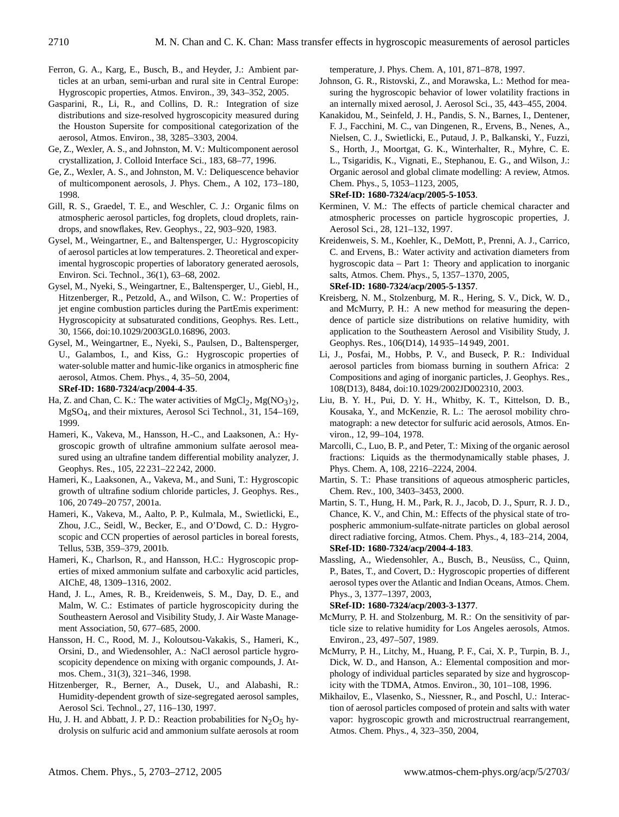- Ferron, G. A., Karg, E., Busch, B., and Heyder, J.: Ambient particles at an urban, semi-urban and rural site in Central Europe: Hygroscopic properties, Atmos. Environ., 39, 343–352, 2005.
- Gasparini, R., Li, R., and Collins, D. R.: Integration of size distributions and size-resolved hygroscopicity measured during the Houston Supersite for compositional categorization of the aerosol, Atmos. Environ., 38, 3285–3303, 2004.
- Ge, Z., Wexler, A. S., and Johnston, M. V.: Multicomponent aerosol crystallization, J. Colloid Interface Sci., 183, 68–77, 1996.
- Ge, Z., Wexler, A. S., and Johnston, M. V.: Deliquescence behavior of multicomponent aerosols, J. Phys. Chem., A 102, 173–180, 1998.
- Gill, R. S., Graedel, T. E., and Weschler, C. J.: Organic films on atmospheric aerosol particles, fog droplets, cloud droplets, raindrops, and snowflakes, Rev. Geophys., 22, 903–920, 1983.
- Gysel, M., Weingartner, E., and Baltensperger, U.: Hygroscopicity of aerosol particles at low temperatures. 2. Theoretical and experimental hygroscopic properties of laboratory generated aerosols, Environ. Sci. Technol., 36(1), 63–68, 2002.
- Gysel, M., Nyeki, S., Weingartner, E., Baltensperger, U., Giebl, H., Hitzenberger, R., Petzold, A., and Wilson, C. W.: Properties of jet engine combustion particles during the PartEmis experiment: Hygroscopicity at subsaturated conditions, Geophys. Res. Lett., 30, 1566, doi:10.1029/2003GL0.16896, 2003.
- Gysel, M., Weingartner, E., Nyeki, S., Paulsen, D., Baltensperger, U., Galambos, I., and Kiss, G.: Hygroscopic properties of water-soluble matter and humic-like organics in atmospheric fine aerosol, Atmos. Chem. Phys., 4, 35–50, 2004, **[SRef-ID: 1680-7324/acp/2004-4-35](http://direct.sref.org/1680-7324/acp/2004-4-35)**.
- Ha, Z. and Chan, C. K.: The water activities of  $MgCl_2$ ,  $Mg(NO_3)$ , MgSO4, and their mixtures, Aerosol Sci Technol., 31, 154–169, 1999.
- Hameri, K., Vakeva, M., Hansson, H.-C., and Laaksonen, A.: Hygroscopic growth of ultrafine ammonium sulfate aerosol measured using an ultrafine tandem differential mobility analyzer, J. Geophys. Res., 105, 22 231–22 242, 2000.
- Hameri, K., Laaksonen, A., Vakeva, M., and Suni, T.: Hygroscopic growth of ultrafine sodium chloride particles, J. Geophys. Res., 106, 20 749–20 757, 2001a.
- Hameri, K., Vakeva, M., Aalto, P. P., Kulmala, M., Swietlicki, E., Zhou, J.C., Seidl, W., Becker, E., and O'Dowd, C. D.: Hygroscopic and CCN properties of aerosol particles in boreal forests, Tellus, 53B, 359–379, 2001b.
- Hameri, K., Charlson, R., and Hansson, H.C.: Hygroscopic properties of mixed ammonium sulfate and carboxylic acid particles, AIChE, 48, 1309–1316, 2002.
- Hand, J. L., Ames, R. B., Kreidenweis, S. M., Day, D. E., and Malm, W. C.: Estimates of particle hygroscopicity during the Southeastern Aerosol and Visibility Study, J. Air Waste Management Association, 50, 677–685, 2000.
- Hansson, H. C., Rood, M. J., Koloutsou-Vakakis, S., Hameri, K., Orsini, D., and Wiedensohler, A.: NaCl aerosol particle hygroscopicity dependence on mixing with organic compounds, J. Atmos. Chem., 31(3), 321–346, 1998.
- Hitzenberger, R., Berner, A., Dusek, U., and Alabashi, R.: Humidity-dependent growth of size-segregated aerosol samples, Aerosol Sci. Technol., 27, 116–130, 1997.
- Hu, J. H. and Abbatt, J. P. D.: Reaction probabilities for  $N_2O_5$  hydrolysis on sulfuric acid and ammonium sulfate aerosols at room

temperature, J. Phys. Chem. A, 101, 871–878, 1997.

- Johnson, G. R., Ristovski, Z., and Morawska, L.: Method for measuring the hygroscopic behavior of lower volatility fractions in an internally mixed aerosol, J. Aerosol Sci., 35, 443–455, 2004.
- Kanakidou, M., Seinfeld, J. H., Pandis, S. N., Barnes, I., Dentener, F. J., Facchini, M. C., van Dingenen, R., Ervens, B., Nenes, A., Nielsen, C. J., Swietlicki, E., Putaud, J. P., Balkanski, Y., Fuzzi, S., Horth, J., Moortgat, G. K., Winterhalter, R., Myhre, C. E. L., Tsigaridis, K., Vignati, E., Stephanou, E. G., and Wilson, J.: Organic aerosol and global climate modelling: A review, Atmos. Chem. Phys., 5, 1053–1123, 2005,

**[SRef-ID: 1680-7324/acp/2005-5-1053](http://direct.sref.org/1680-7324/acp/2005-5-1053)**.

- Kerminen, V. M.: The effects of particle chemical character and atmospheric processes on particle hygroscopic properties, J. Aerosol Sci., 28, 121–132, 1997.
- Kreidenweis, S. M., Koehler, K., DeMott, P., Prenni, A. J., Carrico, C. and Ervens, B.: Water activity and activation diameters from hygroscopic data – Part 1: Theory and application to inorganic salts, Atmos. Chem. Phys., 5, 1357–1370, 2005, **[SRef-ID: 1680-7324/acp/2005-5-1357](http://direct.sref.org/1680-7324/acp/2005-5-1357)**.
- Kreisberg, N. M., Stolzenburg, M. R., Hering, S. V., Dick, W. D., and McMurry, P. H.: A new method for measuring the dependence of particle size distributions on relative humidity, with application to the Southeastern Aerosol and Visibility Study, J. Geophys. Res., 106(D14), 14 935–14 949, 2001.
- Li, J., Posfai, M., Hobbs, P. V., and Buseck, P. R.: Individual aerosol particles from biomass burning in southern Africa: 2 Compositions and aging of inorganic particles, J. Geophys. Res., 108(D13), 8484, doi:10.1029/2002JD002310, 2003.
- Liu, B. Y. H., Pui, D. Y. H., Whitby, K. T., Kittelson, D. B., Kousaka, Y., and McKenzie, R. L.: The aerosol mobility chromatograph: a new detector for sulfuric acid aerosols, Atmos. Environ., 12, 99–104, 1978.
- Marcolli, C., Luo, B. P., and Peter, T.: Mixing of the organic aerosol fractions: Liquids as the thermodynamically stable phases, J. Phys. Chem. A, 108, 2216–2224, 2004.
- Martin, S. T.: Phase transitions of aqueous atmospheric particles, Chem. Rev., 100, 3403–3453, 2000.
- Martin, S. T., Hung, H. M., Park, R. J., Jacob, D. J., Spurr, R. J. D., Chance, K. V., and Chin, M.: Effects of the physical state of tropospheric ammonium-sulfate-nitrate particles on global aerosol direct radiative forcing, Atmos. Chem. Phys., 4, 183–214, 2004, **[SRef-ID: 1680-7324/acp/2004-4-183](http://direct.sref.org/1680-7324/acp/2004-4-183)**.
- Massling, A., Wiedensohler, A., Busch, B., Neusüss, C., Quinn, P., Bates, T., and Covert, D.: Hygroscopic properties of different aerosol types over the Atlantic and Indian Oceans, Atmos. Chem. Phys., 3, 1377–1397, 2003,

**[SRef-ID: 1680-7324/acp/2003-3-1377](http://direct.sref.org/1680-7324/acp/2003-3-1377)**.

- McMurry, P. H. and Stolzenburg, M. R.: On the sensitivity of particle size to relative humidity for Los Angeles aerosols, Atmos. Environ., 23, 497–507, 1989.
- McMurry, P. H., Litchy, M., Huang, P. F., Cai, X. P., Turpin, B. J., Dick, W. D., and Hanson, A.: Elemental composition and morphology of individual particles separated by size and hygroscopicity with the TDMA, Atmos. Environ., 30, 101–108, 1996.
- Mikhailov, E., Vlasenko, S., Niessner, R., and Poschl, U.: Interaction of aerosol particles composed of protein and salts with water vapor: hygroscopic growth and microstructrual rearrangement, Atmos. Chem. Phys., 4, 323–350, 2004,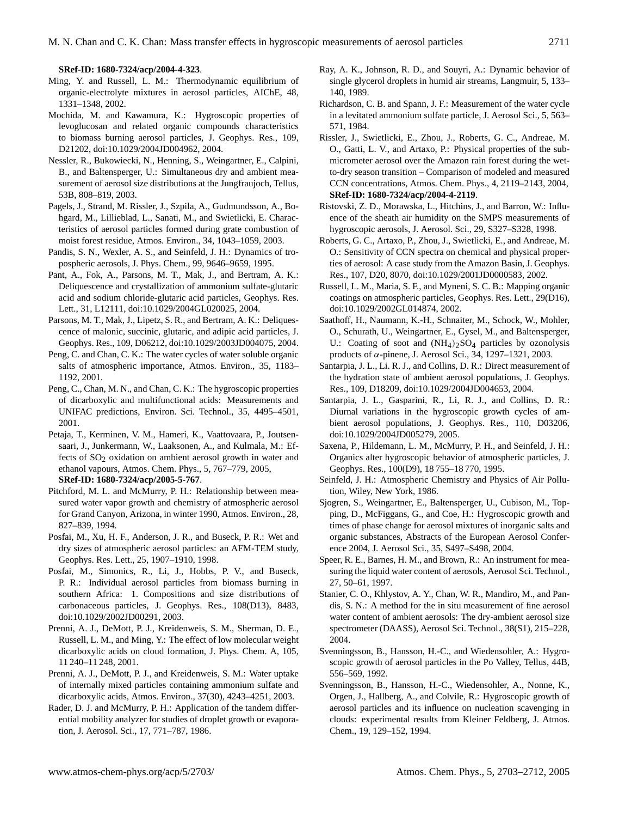**[SRef-ID: 1680-7324/acp/2004-4-323](http://direct.sref.org/1680-7324/acp/2004-4-323)**.

- Ming, Y. and Russell, L. M.: Thermodynamic equilibrium of organic-electrolyte mixtures in aerosol particles, AIChE, 48, 1331–1348, 2002.
- Mochida, M. and Kawamura, K.: Hygroscopic properties of levoglucosan and related organic compounds characteristics to biomass burning aerosol particles, J. Geophys. Res., 109, D21202, doi:10.1029/2004JD004962, 2004.
- Nessler, R., Bukowiecki, N., Henning, S., Weingartner, E., Calpini, B., and Baltensperger, U.: Simultaneous dry and ambient measurement of aerosol size distributions at the Jungfraujoch, Tellus, 53B, 808–819, 2003.
- Pagels, J., Strand, M. Rissler, J., Szpila, A., Gudmundsson, A., Bohgard, M., Lillieblad, L., Sanati, M., and Swietlicki, E. Characteristics of aerosol particles formed during grate combustion of moist forest residue, Atmos. Environ., 34, 1043–1059, 2003.
- Pandis, S. N., Wexler, A. S., and Seinfeld, J. H.: Dynamics of tropospheric aerosols, J. Phys. Chem., 99, 9646–9659, 1995.
- Pant, A., Fok, A., Parsons, M. T., Mak, J., and Bertram, A. K.: Deliquescence and crystallization of ammonium sulfate-glutaric acid and sodium chloride-glutaric acid particles, Geophys. Res. Lett., 31, L12111, doi:10.1029/2004GL020025, 2004.
- Parsons, M. T., Mak, J., Lipetz, S. R., and Bertram, A. K.: Deliquescence of malonic, succinic, glutaric, and adipic acid particles, J. Geophys. Res., 109, D06212, doi:10.1029/2003JD004075, 2004.
- Peng, C. and Chan, C. K.: The water cycles of water soluble organic salts of atmospheric importance, Atmos. Environ., 35, 1183– 1192, 2001.
- Peng, C., Chan, M. N., and Chan, C. K.: The hygroscopic properties of dicarboxylic and multifunctional acids: Measurements and UNIFAC predictions, Environ. Sci. Technol., 35, 4495–4501, 2001.
- Petaja, T., Kerminen, V. M., Hameri, K., Vaattovaara, P., Joutsensaari, J., Junkermann, W., Laaksonen, A., and Kulmala, M.: Effects of  $SO<sub>2</sub>$  oxidation on ambient aerosol growth in water and ethanol vapours, Atmos. Chem. Phys., 5, 767–779, 2005, **[SRef-ID: 1680-7324/acp/2005-5-767](http://direct.sref.org/1680-7324/acp/2005-5-767)**.
- Pitchford, M. L. and McMurry, P. H.: Relationship between measured water vapor growth and chemistry of atmospheric aerosol for Grand Canyon, Arizona, in winter 1990, Atmos. Environ., 28, 827–839, 1994.
- Posfai, M., Xu, H. F., Anderson, J. R., and Buseck, P. R.: Wet and dry sizes of atmospheric aerosol particles: an AFM-TEM study, Geophys. Res. Lett., 25, 1907–1910, 1998.
- Posfai, M., Simonics, R., Li, J., Hobbs, P. V., and Buseck, P. R.: Individual aerosol particles from biomass burning in southern Africa: 1. Compositions and size distributions of carbonaceous particles, J. Geophys. Res., 108(D13), 8483, doi:10.1029/2002JD00291, 2003.
- Prenni, A. J., DeMott, P. J., Kreidenweis, S. M., Sherman, D. E., Russell, L. M., and Ming, Y.: The effect of low molecular weight dicarboxylic acids on cloud formation, J. Phys. Chem. A, 105, 11 240–11 248, 2001.
- Prenni, A. J., DeMott, P. J., and Kreidenweis, S. M.: Water uptake of internally mixed particles containing ammonium sulfate and dicarboxylic acids, Atmos. Environ., 37(30), 4243–4251, 2003.
- Rader, D. J. and McMurry, P. H.: Application of the tandem differential mobility analyzer for studies of droplet growth or evaporation, J. Aerosol. Sci., 17, 771–787, 1986.
- Ray, A. K., Johnson, R. D., and Souyri, A.: Dynamic behavior of single glycerol droplets in humid air streams, Langmuir, 5, 133– 140, 1989.
- Richardson, C. B. and Spann, J. F.: Measurement of the water cycle in a levitated ammonium sulfate particle, J. Aerosol Sci., 5, 563– 571, 1984.
- Rissler, J., Swietlicki, E., Zhou, J., Roberts, G. C., Andreae, M. O., Gatti, L. V., and Artaxo, P.: Physical properties of the submicrometer aerosol over the Amazon rain forest during the wetto-dry season transition – Comparison of modeled and measured CCN concentrations, Atmos. Chem. Phys., 4, 2119–2143, 2004, **[SRef-ID: 1680-7324/acp/2004-4-2119](http://direct.sref.org/1680-7324/acp/2004-4-2119)**.
- Ristovski, Z. D., Morawska, L., Hitchins, J., and Barron, W.: Influence of the sheath air humidity on the SMPS measurements of hygroscopic aerosols, J. Aerosol. Sci., 29, S327–S328, 1998.
- Roberts, G. C., Artaxo, P., Zhou, J., Swietlicki, E., and Andreae, M. O.: Sensitivity of CCN spectra on chemical and physical properties of aerosol: A case study from the Amazon Basin, J. Geophys. Res., 107, D20, 8070, doi:10.1029/2001JD0000583, 2002.
- Russell, L. M., Maria, S. F., and Myneni, S. C. B.: Mapping organic coatings on atmospheric particles, Geophys. Res. Lett., 29(D16), doi:10.1029/2002GL014874, 2002.
- Saathoff, H., Naumann, K.-H., Schnaiter, M., Schock, W., Mohler, O., Schurath, U., Weingartner, E., Gysel, M., and Baltensperger, U.: Coating of soot and  $(NH_4)$ <sub>2</sub>SO<sub>4</sub> particles by ozonolysis products of α-pinene, J. Aerosol Sci., 34, 1297–1321, 2003.
- Santarpia, J. L., Li. R. J., and Collins, D. R.: Direct measurement of the hydration state of ambient aerosol populations, J. Geophys. Res., 109, D18209, doi:10.1029/2004JD004653, 2004.
- Santarpia, J. L., Gasparini, R., Li, R. J., and Collins, D. R.: Diurnal variations in the hygroscopic growth cycles of ambient aerosol populations, J. Geophys. Res., 110, D03206, doi:10.1029/2004JD005279, 2005.
- Saxena, P., Hildemann, L. M., McMurry, P. H., and Seinfeld, J. H.: Organics alter hygroscopic behavior of atmospheric particles, J. Geophys. Res., 100(D9), 18 755–18 770, 1995.
- Seinfeld, J. H.: Atmospheric Chemistry and Physics of Air Pollution, Wiley, New York, 1986.
- Sjogren, S., Weingartner, E., Baltensperger, U., Cubison, M., Topping, D., McFiggans, G., and Coe, H.: Hygroscopic growth and times of phase change for aerosol mixtures of inorganic salts and organic substances, Abstracts of the European Aerosol Conference 2004, J. Aerosol Sci., 35, S497–S498, 2004.
- Speer, R. E., Barnes, H. M., and Brown, R.: An instrument for measuring the liquid water content of aerosols, Aerosol Sci. Technol., 27, 50–61, 1997.
- Stanier, C. O., Khlystov, A. Y., Chan, W. R., Mandiro, M., and Pandis, S. N.: A method for the in situ measurement of fine aerosol water content of ambient aerosols: The dry-ambient aerosol size spectrometer (DAASS), Aerosol Sci. Technol., 38(S1), 215–228, 2004.
- Svenningsson, B., Hansson, H.-C., and Wiedensohler, A.: Hygroscopic growth of aerosol particles in the Po Valley, Tellus, 44B, 556–569, 1992.
- Svenningsson, B., Hansson, H.-C., Wiedensohler, A., Nonne, K., Orgen, J., Hallberg, A., and Colvile, R.: Hygroscopic growth of aerosol particles and its influence on nucleation scavenging in clouds: experimental results from Kleiner Feldberg, J. Atmos. Chem., 19, 129–152, 1994.